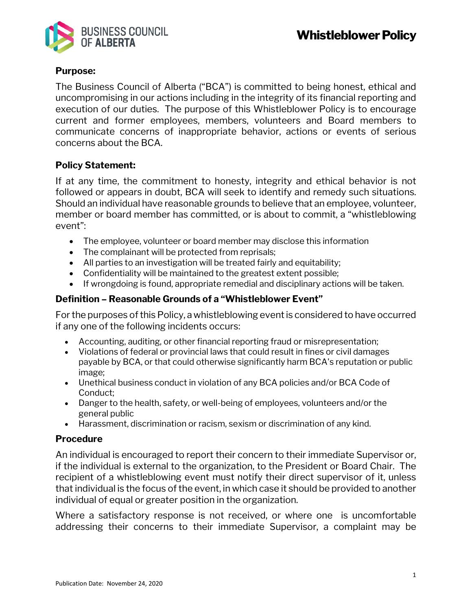

## **Purpose:**

The Business Council of Alberta ("BCA") is committed to being honest, ethical and uncompromising in our actions including in the integrity of its financial reporting and execution of our duties. The purpose of this Whistleblower Policy is to encourage current and former employees, members, volunteers and Board members to communicate concerns of inappropriate behavior, actions or events of serious concerns about the BCA.

## **Policy Statement:**

If at any time, the commitment to honesty, integrity and ethical behavior is not followed or appears in doubt, BCA will seek to identify and remedy such situations. Should an individual have reasonable grounds to believe that an employee, volunteer, member or board member has committed, or is about to commit, a "whistleblowing event":

- The employee, volunteer or board member may disclose this information
- The complainant will be protected from reprisals;
- All parties to an investigation will be treated fairly and equitability;
- Confidentiality will be maintained to the greatest extent possible;
- If wrongdoing is found, appropriate remedial and disciplinary actions will be taken.

## **Definition – Reasonable Grounds of a "Whistleblower Event"**

For the purposes of this Policy, a whistleblowing event is considered to have occurred if any one of the following incidents occurs:

- Accounting, auditing, or other financial reporting fraud or misrepresentation;
- Violations of federal or provincial laws that could result in fines or civil damages payable by BCA, or that could otherwise significantly harm BCA's reputation or public image;
- Unethical business conduct in violation of any BCA policies and/or BCA Code of Conduct;
- Danger to the health, safety, or well-being of employees, volunteers and/or the general public
- Harassment, discrimination or racism, sexism or discrimination of any kind.

## **Procedure**

An individual is encouraged to report their concern to their immediate Supervisor or, if the individual is external to the organization, to the President or Board Chair. The recipient of a whistleblowing event must notify their direct supervisor of it, unless that individual is the focus of the event, in which case it should be provided to another individual of equal or greater position in the organization.

Where a satisfactory response is not received, or where one is uncomfortable addressing their concerns to their immediate Supervisor, a complaint may be